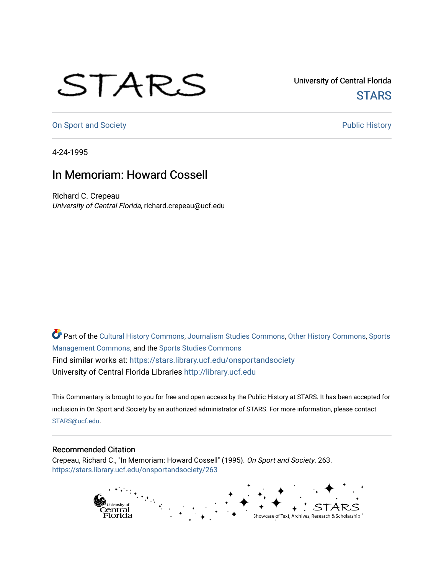## STARS

University of Central Florida **STARS** 

[On Sport and Society](https://stars.library.ucf.edu/onsportandsociety) **Public History** Public History

4-24-1995

## In Memoriam: Howard Cossell

Richard C. Crepeau University of Central Florida, richard.crepeau@ucf.edu

Part of the [Cultural History Commons](http://network.bepress.com/hgg/discipline/496?utm_source=stars.library.ucf.edu%2Fonsportandsociety%2F263&utm_medium=PDF&utm_campaign=PDFCoverPages), [Journalism Studies Commons,](http://network.bepress.com/hgg/discipline/333?utm_source=stars.library.ucf.edu%2Fonsportandsociety%2F263&utm_medium=PDF&utm_campaign=PDFCoverPages) [Other History Commons,](http://network.bepress.com/hgg/discipline/508?utm_source=stars.library.ucf.edu%2Fonsportandsociety%2F263&utm_medium=PDF&utm_campaign=PDFCoverPages) [Sports](http://network.bepress.com/hgg/discipline/1193?utm_source=stars.library.ucf.edu%2Fonsportandsociety%2F263&utm_medium=PDF&utm_campaign=PDFCoverPages) [Management Commons](http://network.bepress.com/hgg/discipline/1193?utm_source=stars.library.ucf.edu%2Fonsportandsociety%2F263&utm_medium=PDF&utm_campaign=PDFCoverPages), and the [Sports Studies Commons](http://network.bepress.com/hgg/discipline/1198?utm_source=stars.library.ucf.edu%2Fonsportandsociety%2F263&utm_medium=PDF&utm_campaign=PDFCoverPages) Find similar works at: <https://stars.library.ucf.edu/onsportandsociety> University of Central Florida Libraries [http://library.ucf.edu](http://library.ucf.edu/) 

This Commentary is brought to you for free and open access by the Public History at STARS. It has been accepted for inclusion in On Sport and Society by an authorized administrator of STARS. For more information, please contact [STARS@ucf.edu](mailto:STARS@ucf.edu).

## Recommended Citation

Crepeau, Richard C., "In Memoriam: Howard Cossell" (1995). On Sport and Society. 263. [https://stars.library.ucf.edu/onsportandsociety/263](https://stars.library.ucf.edu/onsportandsociety/263?utm_source=stars.library.ucf.edu%2Fonsportandsociety%2F263&utm_medium=PDF&utm_campaign=PDFCoverPages)

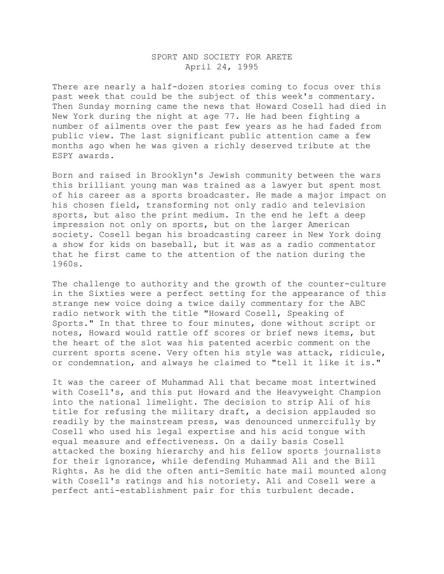## SPORT AND SOCIETY FOR ARETE April 24, 1995

There are nearly a half-dozen stories coming to focus over this past week that could be the subject of this week's commentary. Then Sunday morning came the news that Howard Cosell had died in New York during the night at age 77. He had been fighting a number of ailments over the past few years as he had faded from public view. The last significant public attention came a few months ago when he was given a richly deserved tribute at the ESPY awards.

Born and raised in Brooklyn's Jewish community between the wars this brilliant young man was trained as a lawyer but spent most of his career as a sports broadcaster. He made a major impact on his chosen field, transforming not only radio and television sports, but also the print medium. In the end he left a deep impression not only on sports, but on the larger American society. Cosell began his broadcasting career in New York doing a show for kids on baseball, but it was as a radio commentator that he first came to the attention of the nation during the 1960s.

The challenge to authority and the growth of the counter-culture in the Sixties were a perfect setting for the appearance of this strange new voice doing a twice daily commentary for the ABC radio network with the title "Howard Cosell, Speaking of Sports." In that three to four minutes, done without script or notes, Howard would rattle off scores or brief news items, but the heart of the slot was his patented acerbic comment on the current sports scene. Very often his style was attack, ridicule, or condemnation, and always he claimed to "tell it like it is."

It was the career of Muhammad Ali that became most intertwined with Cosell's, and this put Howard and the Heavyweight Champion into the national limelight. The decision to strip Ali of his title for refusing the military draft, a decision applauded so readily by the mainstream press, was denounced unmercifully by Cosell who used his legal expertise and his acid tongue with equal measure and effectiveness. On a daily basis Cosell attacked the boxing hierarchy and his fellow sports journalists for their ignorance, while defending Muhammad Ali and the Bill Rights. As he did the often anti-Semitic hate mail mounted along with Cosell's ratings and his notoriety. Ali and Cosell were a perfect anti-establishment pair for this turbulent decade.